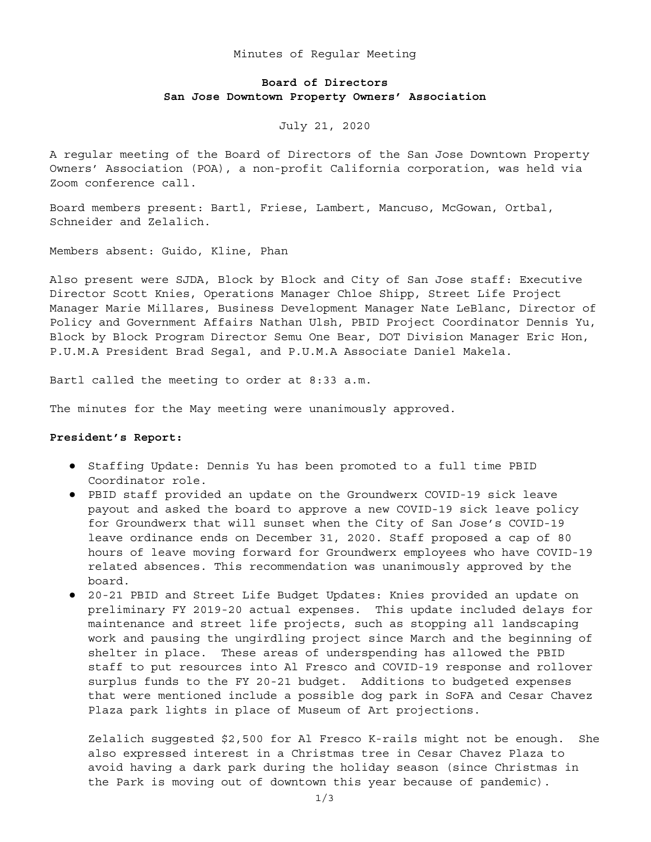## Minutes of Regular Meeting

# **Board of Directors San Jose Downtown Property Owners' Association**

## July 21, 2020

A regular meeting of the Board of Directors of the San Jose Downtown Property Owners' Association (POA), a non-profit California corporation, was held via Zoom conference call.

Board members present: Bartl, Friese, Lambert, Mancuso, McGowan, Ortbal, Schneider and Zelalich.

Members absent: Guido, Kline, Phan

Also present were SJDA, Block by Block and City of San Jose staff: Executive Director Scott Knies, Operations Manager Chloe Shipp, Street Life Project Manager Marie Millares, Business Development Manager Nate LeBlanc, Director of Policy and Government Affairs Nathan Ulsh, PBID Project Coordinator Dennis Yu, Block by Block Program Director Semu One Bear, DOT Division Manager Eric Hon, P.U.M.A President Brad Segal, and P.U.M.A Associate Daniel Makela.

Bartl called the meeting to order at 8:33 a.m.

The minutes for the May meeting were unanimously approved.

## **President's Report:**

- Staffing Update: Dennis Yu has been promoted to a full time PBID Coordinator role.
- PBID staff provided an update on the Groundwerx COVID-19 sick leave payout and asked the board to approve a new COVID-19 sick leave policy for Groundwerx that will sunset when the City of San Jose's COVID-19 leave ordinance ends on December 31, 2020. Staff proposed a cap of 80 hours of leave moving forward for Groundwerx employees who have COVID-19 related absences. This recommendation was unanimously approved by the board.
- 20-21 PBID and Street Life Budget Updates: Knies provided an update on preliminary FY 2019-20 actual expenses. This update included delays for maintenance and street life projects, such as stopping all landscaping work and pausing the ungirdling project since March and the beginning of shelter in place. These areas of underspending has allowed the PBID staff to put resources into Al Fresco and COVID-19 response and rollover surplus funds to the FY 20-21 budget. Additions to budgeted expenses that were mentioned include a possible dog park in SoFA and Cesar Chavez Plaza park lights in place of Museum of Art projections.

Zelalich suggested \$2,500 for Al Fresco K-rails might not be enough. She also expressed interest in a Christmas tree in Cesar Chavez Plaza to avoid having a dark park during the holiday season (since Christmas in the Park is moving out of downtown this year because of pandemic).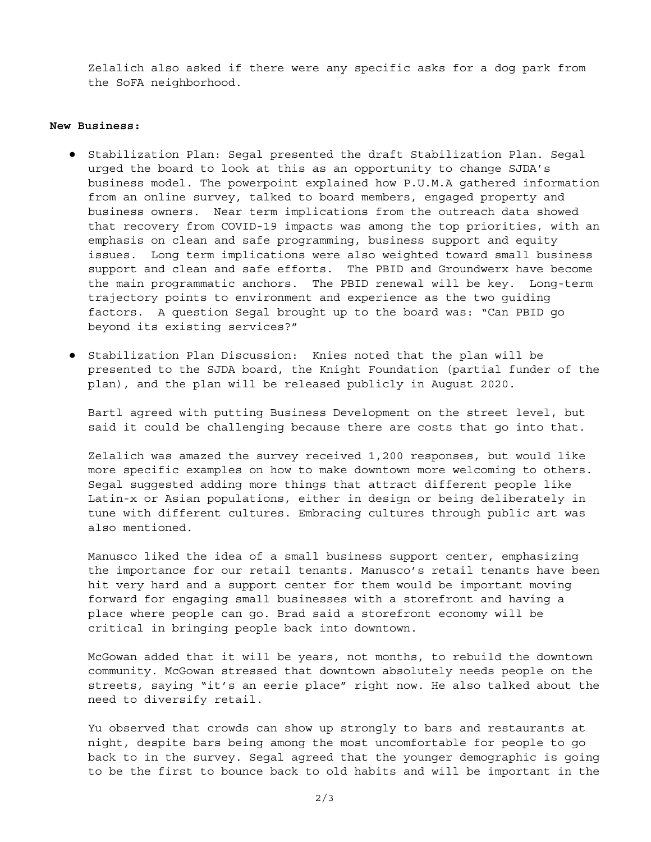Zelalich also asked if there were any specific asks for a dog park from the SoFA neighborhood.

## **New Business:**

- Stabilization Plan: Segal presented the draft Stabilization Plan. Segal urged the board to look at this as an opportunity to change SJDA's business model. The powerpoint explained how P.U.M.A gathered information from an online survey, talked to board members, engaged property and business owners. Near term implications from the outreach data showed that recovery from COVID-19 impacts was among the top priorities, with an emphasis on clean and safe programming, business support and equity issues. Long term implications were also weighted toward small business support and clean and safe efforts. The PBID and Groundwerx have become the main programmatic anchors. The PBID renewal will be key. Long-term trajectory points to environment and experience as the two guiding factors. A question Segal brought up to the board was: "Can PBID go beyond its existing services?"
- Stabilization Plan Discussion: Knies noted that the plan will be presented to the SJDA board, the Knight Foundation (partial funder of the plan), and the plan will be released publicly in August 2020.

Bartl agreed with putting Business Development on the street level, but said it could be challenging because there are costs that go into that.

Zelalich was amazed the survey received 1,200 responses, but would like more specific examples on how to make downtown more welcoming to others. Segal suggested adding more things that attract different people like Latin-x or Asian populations, either in design or being deliberately in tune with different cultures. Embracing cultures through public art was also mentioned.

Manusco liked the idea of a small business support center, emphasizing the importance for our retail tenants. Manusco's retail tenants have been hit very hard and a support center for them would be important moving forward for engaging small businesses with a storefront and having a place where people can go. Brad said a storefront economy will be critical in bringing people back into downtown.

McGowan added that it will be years, not months, to rebuild the downtown community. McGowan stressed that downtown absolutely needs people on the streets, saying "it's an eerie place" right now. He also talked about the need to diversify retail.

Yu observed that crowds can show up strongly to bars and restaurants at night, despite bars being among the most uncomfortable for people to go back to in the survey. Segal agreed that the younger demographic is going to be the first to bounce back to old habits and will be important in the